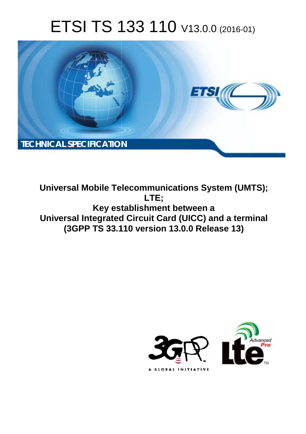# ETSI TS 133 110 V13.0.0 (2016-01)



**Universal Mobile Tel elecommunications System ( (UMTS); Key est stablishment between a Universal Integrated ed Circuit Card (UICC) and a te terminal (3GPP TS 33.1 .110 version 13.0.0 Release 13 13) LTE;** 

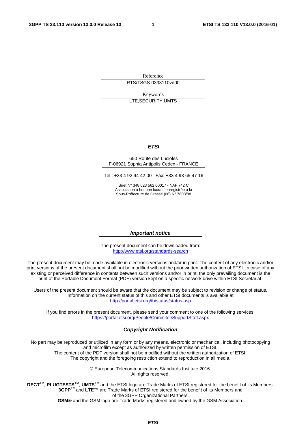Reference RTS/TSGS-0333110vd00

Keywords LTE,SECURITY,UMTS

#### *ETSI*

#### 650 Route des Lucioles F-06921 Sophia Antipolis Cedex - FRANCE

Tel.: +33 4 92 94 42 00 Fax: +33 4 93 65 47 16

Siret N° 348 623 562 00017 - NAF 742 C Association à but non lucratif enregistrée à la Sous-Préfecture de Grasse (06) N° 7803/88

#### *Important notice*

The present document can be downloaded from: <http://www.etsi.org/standards-search>

The present document may be made available in electronic versions and/or in print. The content of any electronic and/or print versions of the present document shall not be modified without the prior written authorization of ETSI. In case of any existing or perceived difference in contents between such versions and/or in print, the only prevailing document is the print of the Portable Document Format (PDF) version kept on a specific network drive within ETSI Secretariat.

Users of the present document should be aware that the document may be subject to revision or change of status. Information on the current status of this and other ETSI documents is available at <http://portal.etsi.org/tb/status/status.asp>

If you find errors in the present document, please send your comment to one of the following services: <https://portal.etsi.org/People/CommiteeSupportStaff.aspx>

#### *Copyright Notification*

No part may be reproduced or utilized in any form or by any means, electronic or mechanical, including photocopying and microfilm except as authorized by written permission of ETSI.

The content of the PDF version shall not be modified without the written authorization of ETSI. The copyright and the foregoing restriction extend to reproduction in all media.

> © European Telecommunications Standards Institute 2016. All rights reserved.

**DECT**TM, **PLUGTESTS**TM, **UMTS**TM and the ETSI logo are Trade Marks of ETSI registered for the benefit of its Members. **3GPP**TM and **LTE**™ are Trade Marks of ETSI registered for the benefit of its Members and of the 3GPP Organizational Partners.

**GSM**® and the GSM logo are Trade Marks registered and owned by the GSM Association.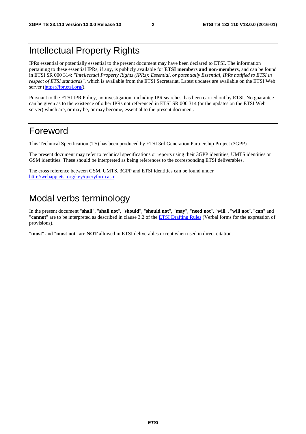## Intellectual Property Rights

IPRs essential or potentially essential to the present document may have been declared to ETSI. The information pertaining to these essential IPRs, if any, is publicly available for **ETSI members and non-members**, and can be found in ETSI SR 000 314: *"Intellectual Property Rights (IPRs); Essential, or potentially Essential, IPRs notified to ETSI in respect of ETSI standards"*, which is available from the ETSI Secretariat. Latest updates are available on the ETSI Web server [\(https://ipr.etsi.org/](https://ipr.etsi.org/)).

Pursuant to the ETSI IPR Policy, no investigation, including IPR searches, has been carried out by ETSI. No guarantee can be given as to the existence of other IPRs not referenced in ETSI SR 000 314 (or the updates on the ETSI Web server) which are, or may be, or may become, essential to the present document.

## Foreword

This Technical Specification (TS) has been produced by ETSI 3rd Generation Partnership Project (3GPP).

The present document may refer to technical specifications or reports using their 3GPP identities, UMTS identities or GSM identities. These should be interpreted as being references to the corresponding ETSI deliverables.

The cross reference between GSM, UMTS, 3GPP and ETSI identities can be found under [http://webapp.etsi.org/key/queryform.asp.](http://webapp.etsi.org/key/queryform.asp)

## Modal verbs terminology

In the present document "**shall**", "**shall not**", "**should**", "**should not**", "**may**", "**need not**", "**will**", "**will not**", "**can**" and "**cannot**" are to be interpreted as described in clause 3.2 of the [ETSI Drafting Rules](http://portal.etsi.org/Help/editHelp!/Howtostart/ETSIDraftingRules.aspx) (Verbal forms for the expression of provisions).

"**must**" and "**must not**" are **NOT** allowed in ETSI deliverables except when used in direct citation.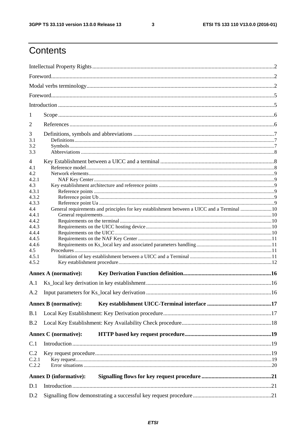$\mathbf{3}$ 

## Contents

| 1              |                                                                                            |  |  |  |  |  |
|----------------|--------------------------------------------------------------------------------------------|--|--|--|--|--|
| 2              |                                                                                            |  |  |  |  |  |
|                |                                                                                            |  |  |  |  |  |
| 3<br>3.1       |                                                                                            |  |  |  |  |  |
| 3.2            |                                                                                            |  |  |  |  |  |
| 3.3            |                                                                                            |  |  |  |  |  |
| 4              |                                                                                            |  |  |  |  |  |
| 4.1            |                                                                                            |  |  |  |  |  |
| 4.2            |                                                                                            |  |  |  |  |  |
| 4.2.1          |                                                                                            |  |  |  |  |  |
| 4.3            |                                                                                            |  |  |  |  |  |
| 4.3.1<br>4.3.2 |                                                                                            |  |  |  |  |  |
| 4.3.3          |                                                                                            |  |  |  |  |  |
| 4.4            | General requirements and principles for key establishment between a UICC and a Terminal 10 |  |  |  |  |  |
| 4.4.1          |                                                                                            |  |  |  |  |  |
| 4.4.2          |                                                                                            |  |  |  |  |  |
| 4.4.3          |                                                                                            |  |  |  |  |  |
| 4.4.4          |                                                                                            |  |  |  |  |  |
| 4.4.5          |                                                                                            |  |  |  |  |  |
| 4.4.6          |                                                                                            |  |  |  |  |  |
| 4.5            |                                                                                            |  |  |  |  |  |
| 4.5.1          |                                                                                            |  |  |  |  |  |
| 4.5.2          |                                                                                            |  |  |  |  |  |
|                | <b>Annex A (normative):</b>                                                                |  |  |  |  |  |
| A.1            |                                                                                            |  |  |  |  |  |
| A.2            |                                                                                            |  |  |  |  |  |
|                | <b>Annex B</b> (normative):                                                                |  |  |  |  |  |
|                |                                                                                            |  |  |  |  |  |
| B.1            |                                                                                            |  |  |  |  |  |
| B.2            |                                                                                            |  |  |  |  |  |
|                | <b>Annex C</b> (normative):                                                                |  |  |  |  |  |
| C.1            |                                                                                            |  |  |  |  |  |
| C.2            |                                                                                            |  |  |  |  |  |
| C.2.1          |                                                                                            |  |  |  |  |  |
| C.2.2          |                                                                                            |  |  |  |  |  |
|                | <b>Annex D</b> (informative):                                                              |  |  |  |  |  |
| D.1            |                                                                                            |  |  |  |  |  |
|                |                                                                                            |  |  |  |  |  |
| D.2            |                                                                                            |  |  |  |  |  |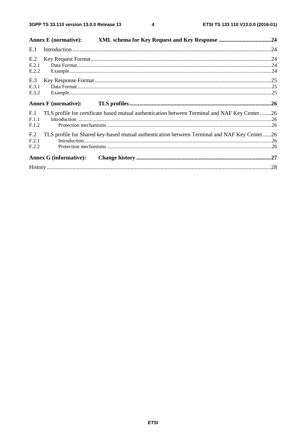$\overline{\mathbf{4}}$ 

|                          | <b>Annex E</b> (normative):   |                                                                                               |  |
|--------------------------|-------------------------------|-----------------------------------------------------------------------------------------------|--|
| E.1                      |                               |                                                                                               |  |
| E.2                      |                               |                                                                                               |  |
| E.2.1<br>E.2.2           |                               |                                                                                               |  |
| E.3                      |                               |                                                                                               |  |
| E.3.1<br>E.3.2           |                               |                                                                                               |  |
|                          | <b>Annex F</b> (normative):   |                                                                                               |  |
| F.1<br>F.1.1             |                               | TLS profile for certificate based mutual authentication between Terminal and NAF Key Center26 |  |
| F.1.2                    |                               |                                                                                               |  |
| F <sub>12</sub><br>F.2.1 |                               | TLS profile for Shared key-based mutual authentication between Terminal and NAF Key Center26  |  |
| F.2.2                    |                               |                                                                                               |  |
|                          | <b>Annex G (informative):</b> |                                                                                               |  |
|                          |                               |                                                                                               |  |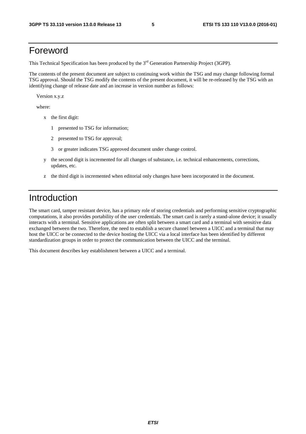## Foreword

This Technical Specification has been produced by the 3<sup>rd</sup> Generation Partnership Project (3GPP).

The contents of the present document are subject to continuing work within the TSG and may change following formal TSG approval. Should the TSG modify the contents of the present document, it will be re-released by the TSG with an identifying change of release date and an increase in version number as follows:

Version x.y.z

where:

- x the first digit:
	- 1 presented to TSG for information;
	- 2 presented to TSG for approval;
	- 3 or greater indicates TSG approved document under change control.
- y the second digit is incremented for all changes of substance, i.e. technical enhancements, corrections, updates, etc.
- z the third digit is incremented when editorial only changes have been incorporated in the document.

## Introduction

The smart card, tamper resistant device, has a primary role of storing credentials and performing sensitive cryptographic computations, it also provides portability of the user credentials. The smart card is rarely a stand-alone device; it usually interacts with a terminal. Sensitive applications are often split between a smart card and a terminal with sensitive data exchanged between the two. Therefore, the need to establish a secure channel between a UICC and a terminal that may host the UICC or be connected to the device hosting the UICC via a local interface has been identified by different standardization groups in order to protect the communication between the UICC and the terminal.

This document describes key establishment between a UICC and a terminal.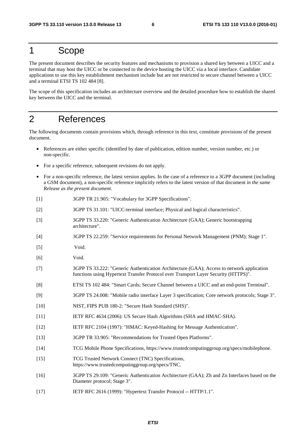### 1 Scope

The present document describes the security features and mechanisms to provision a shared key between a UICC and a terminal that may host the UICC or be connected to the device hosting the UICC via a local interface. Candidate applications to use this key establishment mechanism include but are not restricted to secure channel between a UICC and a terminal ETSI TS 102 484 [8].

The scope of this specification includes an architecture overview and the detailed procedure how to establish the shared key between the UICC and the terminal.

## 2 References

The following documents contain provisions which, through reference in this text, constitute provisions of the present document.

- References are either specific (identified by date of publication, edition number, version number, etc.) or non-specific.
- For a specific reference, subsequent revisions do not apply.
- For a non-specific reference, the latest version applies. In the case of a reference to a 3GPP document (including a GSM document), a non-specific reference implicitly refers to the latest version of that document *in the same Release as the present document*.
- [1] 3GPP TR 21.905: "Vocabulary for 3GPP Specifications".
- [2] 3GPP TS 31.101: "UICC-terminal interface; Physical and logical characteristics".
- [3] 3GPP TS 33.220: "Generic Authentication Architecture (GAA); Generic bootstrapping architecture".
- [4] 3GPP TS 22.259: "Service requirements for Personal Network Management (PNM); Stage 1".
- [5] Void.
- [6] Void.
- [7] 3GPP TS 33.222: "Generic Authentication Architecture (GAA); Access to network application functions using Hypertext Transfer Protocol over Transport Layer Security (HTTPS)".
- [8] ETSI TS 102 484: "Smart Cards; Secure Channel between a UICC and an end-point Terminal".
- [9] 3GPP TS 24.008: "Mobile radio interface Layer 3 specification; Core network protocols; Stage 3".
- [10] NIST, FIPS PUB 180-2: "Secure Hash Standard (SHS)".
- [11] IETF RFC 4634 (2006): US Secure Hash Algorithms (SHA and HMAC-SHA).
- [12] IETF RFC 2104 (1997): "HMAC: Keyed-Hashing for Message Authentication".
- [13] 3GPP TR 33.905: "Recommendations for Trusted Open Platforms".
- [14] TCG Mobile Phone Specifications, https://www.trustedcomputinggroup.org/specs/mobilephone.
- [15] TCG Trusted Network Connect (TNC) Specifications, https://www.trustedcomputinggroup.org/specs/TNC.
- [16] 3GPP TS 29.109: "Generic Authentication Architecture (GAA); Zh and Zn Interfaces based on the Diameter protocol; Stage 3".
- [17] IETF RFC 2616 (1999): "Hypertext Transfer Protocol -- HTTP/1.1".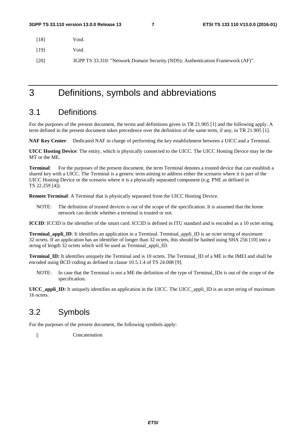[18] Void.

[19] Void.

[20] 3GPP TS 33.310: "Network Domain Security (NDS); Authentication Framework (AF)".

3 Definitions, symbols and abbreviations

### 3.1 Definitions

For the purposes of the present document, the terms and definitions given in TR 21.905 [1] and the following apply. A term defined in the present document takes precedence over the definition of the same term, if any, in TR 21.905 [1].

**NAF Key Center**: Dedicated NAF in charge of performing the key establishment between a UICC and a Terminal.

**UICC Hosting Device**: The entity, which is physically connected to the UICC. The UICC Hosting Device may be the MT or the ME.

**Terminal**: For the purposes of the present document, the term Terminal denotes a trusted device that can establish a shared key with a UICC. The Terminal is a generic term aiming to address either the scenario where it is part of the UICC Hosting Device or the scenario where it is a physically separated component (e.g. PNE as defined in TS 22.259 [4]).

**Remote Terminal**: A Terminal that is physically separated from the UICC Hosting Device.

NOTE: The definition of trusted devices is out of the scope of the specification. It is assumed that the home network can decide whether a terminal is trusted or not.

**ICCID**: ICCID is the identifier of the smart card. ICCID is defined in ITU standard and is encoded as a 10 octet string.

**Terminal\_appli\_ID**: It identifies an application in a Terminal. Terminal\_appli\_ID is an octet string of maximum 32 octets. If an application has an identifier of longer than 32 octets, this should be hashed using SHA 256 [10] into a string of length 32 octets which will be used as Terminal\_appli\_ID.

**Terminal ID:** It identifies uniquely the Terminal and is 10 octets. The Terminal ID of a ME is the IMEI and shall be encoded using BCD coding as defined in clause 10.5.1.4 of TS 24.008 [9].

NOTE: In case that the Terminal is not a ME the definition of the type of Terminal\_IDs is out of the scope of the specification.

**UICC\_appli\_ID:** It uniquely identifies an application in the UICC. The UICC\_appli\_ID is an octet string of maximum 16 octets.

## 3.2 Symbols

For the purposes of the present document, the following symbols apply:

|| Concatenation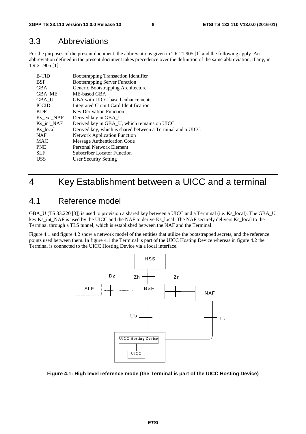### 3.3 Abbreviations

For the purposes of the present document, the abbreviations given in TR 21.905 [1] and the following apply. An abbreviation defined in the present document takes precedence over the definition of the same abbreviation, if any, in TR 21.905 [1].

| <b>B-TID</b> | <b>Bootstrapping Transaction Identifier</b>                |
|--------------|------------------------------------------------------------|
| <b>BSF</b>   | <b>Bootstrapping Server Function</b>                       |
| <b>GBA</b>   | Generic Bootstrapping Architecture                         |
| GBA ME       | ME-based GBA                                               |
| GBA U        | GBA with UICC-based enhancements                           |
| <b>ICCID</b> | Integrated Circuit Card Identification                     |
| <b>KDF</b>   | <b>Key Derivation Function</b>                             |
| Ks ext NAF   | Derived key in GBA_U                                       |
| Ks int NAF   | Derived key in GBA_U, which remains on UICC                |
| Ks local     | Derived key, which is shared between a Terminal and a UICC |
| <b>NAF</b>   | <b>Network Application Function</b>                        |
| <b>MAC</b>   | Message Authentication Code                                |
| <b>PNE</b>   | <b>Personal Network Element</b>                            |
| <b>SLF</b>   | <b>Subscriber Locator Function</b>                         |
| <b>USS</b>   | User Security Setting                                      |
|              |                                                            |

## 4 Key Establishment between a UICC and a terminal

## 4.1 Reference model

GBA\_U (TS 33.220 [3]) is used to provision a shared key between a UICC and a Terminal (i.e. Ks\_local). The GBA\_U key Ks\_int\_NAF is used by the UICC and the NAF to derive Ks\_local. The NAF securely delivers Ks\_local to the Terminal through a TLS tunnel, which is established between the NAF and the Terminal.

Figure 4.1 and figure 4.2 show a network model of the entities that utilize the bootstrapped secrets, and the reference points used between them. In figure 4.1 the Terminal is part of the UICC Hosting Device whereas in figure 4.2 the Terminal is connected to the UICC Hosting Device via a local interface.



#### **Figure 4.1: High level reference mode (the Terminal is part of the UICC Hosting Device)**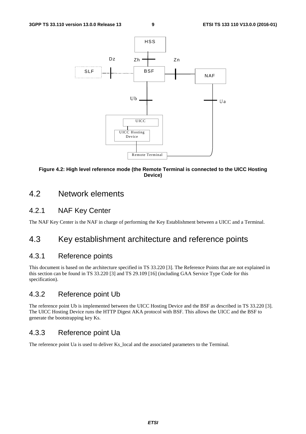

#### **Figure 4.2: High level reference mode (the Remote Terminal is connected to the UICC Hosting Device)**

### 4.2 Network elements

### 4.2.1 NAF Key Center

The NAF Key Center is the NAF in charge of performing the Key Establishment between a UICC and a Terminal.

### 4.3 Key establishment architecture and reference points

#### 4.3.1 Reference points

This document is based on the architecture specified in TS 33.220 [3]. The Reference Points that are not explained in this section can be found in TS 33.220 [3] and TS 29.109 [16] (including GAA Service Type Code for this specification).

#### 4.3.2 Reference point Ub

The reference point Ub is implemented between the UICC Hosting Device and the BSF as described in TS 33.220 [3]. The UICC Hosting Device runs the HTTP Digest AKA protocol with BSF. This allows the UICC and the BSF to generate the bootstrapping key Ks.

### 4.3.3 Reference point Ua

The reference point Ua is used to deliver Ks\_local and the associated parameters to the Terminal.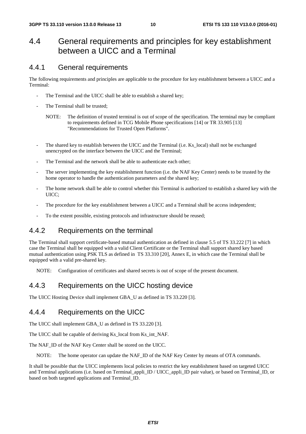### 4.4 General requirements and principles for key establishment between a UICC and a Terminal

#### 4.4.1 General requirements

The following requirements and principles are applicable to the procedure for key establishment between a UICC and a Terminal:

- The Terminal and the UICC shall be able to establish a shared key;
- The Terminal shall be trusted:
	- NOTE: The definition of trusted terminal is out of scope of the specification. The terminal may be compliant to requirements defined in TCG Mobile Phone specifications [14] or TR 33.905 [13] "Recommendations for Trusted Open Platforms".
- The shared key to establish between the UICC and the Terminal (i.e. Ks\_local) shall not be exchanged unencrypted on the interface between the UICC and the Terminal;
- The Terminal and the network shall be able to authenticate each other;
- The server implementing the key establishment function (i.e. the NAF Key Center) needs to be trusted by the home operator to handle the authentication parameters and the shared key;
- The home network shall be able to control whether this Terminal is authorized to establish a shared key with the UICC;
- The procedure for the key establishment between a UICC and a Terminal shall be access independent;
- To the extent possible, existing protocols and infrastructure should be reused;

#### 4.4.2 Requirements on the terminal

The Terminal shall support certificate-based mutual authentication as defined in clause 5.5 of TS 33.222 [7] in which case the Terminal shall be equipped with a valid Client Certificate or the Terminal shall support shared key based mutual authentication using PSK TLS as defined in TS 33.310 [20], Annex E, in which case the Terminal shall be equipped with a valid pre-shared key.

NOTE: Configuration of certificates and shared secrets is out of scope of the present document.

### 4.4.3 Requirements on the UICC hosting device

The UICC Hosting Device shall implement GBA\_U as defined in TS 33.220 [3].

### 4.4.4 Requirements on the UICC

The UICC shall implement GBA\_U as defined in TS 33.220 [3].

The UICC shall be capable of deriving Ks\_local from Ks\_int\_NAF.

The NAF\_ID of the NAF Key Center shall be stored on the UICC.

NOTE: The home operator can update the NAF\_ID of the NAF Key Center by means of OTA commands.

It shall be possible that the UICC implements local policies to restrict the key establishment based on targeted UICC and Terminal applications (i.e. based on Terminal\_appli\_ID / UICC\_appli\_ID pair value), or based on Terminal\_ID, or based on both targeted applications and Terminal\_ID.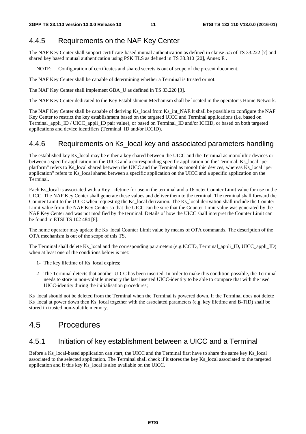### 4.4.5 Requirements on the NAF Key Center

The NAF Key Center shall support certificate-based mutual authentication as defined in clause 5.5 of TS 33.222 [7] and shared key based mutual authentication using PSK TLS as defined in TS 33.310 [20], Annex E .

NOTE: Configuration of certificates and shared secrets is out of scope of the present document.

The NAF Key Center shall be capable of determining whether a Terminal is trusted or not.

The NAF Key Center shall implement GBA\_U as defined in TS 33.220 [3].

The NAF Key Center dedicated to the Key Establishment Mechanism shall be located in the operator"s Home Network.

The NAF Key Center shall be capable of deriving Ks local from Ks int NAF.It shall be possible to configure the NAF Key Center to restrict the key establishment based on the targeted UICC and Terminal applications (i.e. based on Terminal\_appli\_ID / UICC\_appli\_ID pair value), or based on Terminal\_ID and/or ICCID, or based on both targeted applications and device identifiers (Terminal\_ID and/or ICCID).

#### 4.4.6 Requirements on Ks\_local key and associated parameters handling

The established key Ks\_local may be either a key shared between the UICC and the Terminal as monolithic devices or between a specific application on the UICC and a corresponding specific application on the Terminal. Ks\_local "per platform" refers to Ks\_local shared between the UICC and the Terminal as monolithic devices, whereas Ks\_local "per application" refers to Ks\_local shared between a specific application on the UICC and a specific application on the Terminal.

Each Ks\_local is associated with a Key Lifetime for use in the terminal and a 16 octet Counter Limit value for use in the UICC. The NAF Key Center shall generate these values and deliver them to the terminal. The terminal shall forward the Counter Limit to the UICC when requesting the Ks\_local derivation. The Ks\_local derivation shall include the Counter Limit value from the NAF Key Center so that the UICC can be sure that the Counter Limit value was generated by the NAF Key Center and was not modified by the terminal. Details of how the UICC shall interpret the Counter Limit can be found in ETSI TS 102 484 [8].

The home operator may update the Ks\_local Counter Limit value by means of OTA commands. The description of the OTA mechanism is out of the scope of this TS.

The Terminal shall delete Ks local and the corresponding parameters (e.g.ICCID, Terminal appli ID, UICC appli ID) when at least one of the conditions below is met:

- 1- The key lifetime of Ks\_local expires;
- 2- The Terminal detects that another UICC has been inserted. In order to make this condition possible, the Terminal needs to store in non-volatile memory the last inserted UICC-identity to be able to compare that with the used UICC-identity during the initialisation procedures;

Ks\_local should not be deleted from the Terminal when the Terminal is powered down. If the Terminal does not delete Ks local at power down then Ks local together with the associated parameters (e.g. key lifetime and B-TID) shall be stored in trusted non-volatile memory.

### 4.5 Procedures

#### 4.5.1 Initiation of key establishment between a UICC and a Terminal

Before a Ks\_local-based application can start, the UICC and the Terminal first have to share the same key Ks\_local associated to the selected application. The Terminal shall check if it stores the key Ks\_local associated to the targeted application and if this key Ks\_local is also available on the UICC.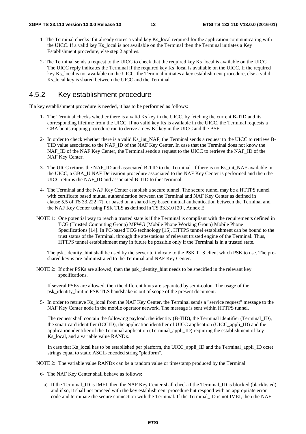- 1- The Terminal checks if it already stores a valid key Ks\_local required for the application communicating with the UICC. If a valid key Ks\_local is not available on the Terminal then the Terminal initiates a Key Establishment procedure, else step 2 applies.
- 2- The Terminal sends a request to the UICC to check that the required key Ks\_local is available on the UICC. The UICC reply indicates the Terminal if the required key Ks\_local is available on the UICC. If the required key Ks\_local is not available on the UICC, the Terminal initiates a key establishment procedure, else a valid Ks local key is shared between the UICC and the Terminal.

#### 4.5.2 Key establishment procedure

If a key establishment procedure is needed, it has to be performed as follows:

- 1- The Terminal checks whether there is a valid Ks key in the UICC, by fetching the current B-TID and its corresponding lifetime from the UICC. If no valid key Ks is available in the UICC, the Terminal requests a GBA bootstrapping procedure run to derive a new Ks key in the UICC and the BSF.
- 2- In order to check whether there is a valid Ks\_int\_NAF, the Terminal sends a request to the UICC to retrieve B-TID value associated to the NAF\_ID of the NAF Key Center. In case that the Terminal does not know the NAF\_ID of the NAF Key Center, the Terminal sends a request to the UICC to retrieve the NAF\_ID of the NAF Key Center.
- 3- The UICC returns the NAF\_ID and associated B-TID to the Terminal. If there is no Ks\_int\_NAF available in the UICC, a GBA\_U NAF Derivation procedure associated to the NAF Key Center is performed and then the UICC returns the NAF\_ID and associated B-TID to the Terminal.
- 4- The Terminal and the NAF Key Center establish a secure tunnel. The secure tunnel may be a HTTPS tunnel with certificate based mutual authentication between the Terminal and NAF Key Center as defined in clause 5.5 of TS 33.222 [7], or based on a shared key based mutual authentication between the Terminal and the NAF Key Center using PSK TLS as defined in TS 33.310 [20], Annex E.
- NOTE 1: One potential way to reach a trusted state is if the Terminal is compliant with the requirements defined in TCG (Trusted Computing Group) MPWG (Mobile Phone Working Group) Mobile Phone Specifications [14]. In PC-based TCG technology [15], HTTPS tunnel establishment can be bound to the trust status of the Terminal, through the attestations of relevant trusted engine of the Terminal. Thus, HTTPS tunnel establishment may in future be possible only if the Terminal is in a trusted state.

The psk\_identity\_hint shall be used by the server to indicate to the PSK TLS client which PSK to use. The preshared key is pre-administrated to the Terminal and NAF Key Center.

NOTE 2: If other PSKs are allowed, then the psk identity hint needs to be specified in the relevant key specifications.

If several PSKs are allowed, then the different hints are separated by semi-colon. The usage of the psk\_identity\_hint in PSK TLS handshake is out of scope of the present document.

5- In order to retrieve Ks\_local from the NAF Key Center, the Terminal sends a "service request" message to the NAF Key Center node in the mobile operator network. The message is sent within HTTPS tunnel.

The request shall contain the following payload: the identity (B-TID), the Terminal identifier (Terminal\_ID), the smart card identifier (ICCID), the application identifier of UICC application (UICC\_appli\_ID) and the application identifier of the Terminal application (Terminal\_appli\_ID) requiring the establishment of key Ks local, and a variable value RANDx.

In case that Ks\_local has to be established per platform, the UICC\_appli\_ID and the Terminal\_appli\_ID octet strings equal to static ASCII-encoded string "platform".

NOTE 2: The variable value RANDx can be a random value or timestamp produced by the Terminal.

- 6- The NAF Key Center shall behave as follows:
	- a) If the Terminal\_ID is IMEI, then the NAF Key Center shall check if the Terminal\_ID is blocked (blacklisted) and if so, it shall not proceed with the key establishment procedure but respond with an appropriate error code and terminate the secure connection with the Terminal. If the Terminal\_ID is not IMEI, then the NAF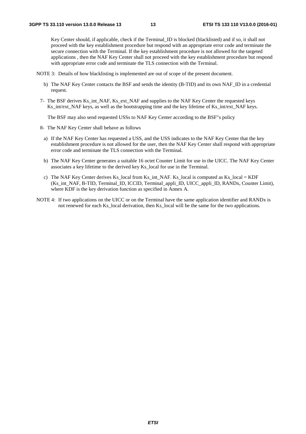Key Center should, if applicable, check if the Terminal ID is blocked (blacklisted) and if so, it shall not proceed with the key establishment procedure but respond with an appropriate error code and terminate the secure connection with the Terminal. If the key establishment procedure is not allowed for the targeted applications , then the NAF Key Center shall not proceed with the key establishment procedure but respond with appropriate error code and terminate the TLS connection with the Terminal.

NOTE 3: Details of how blacklisting is implemented are out of scope of the present document.

- b) The NAF Key Center contacts the BSF and sends the identity (B-TID) and its own NAF\_ID in a credential request.
- 7- The BSF derives Ks\_int\_NAF, Ks\_ext\_NAF and supplies to the NAF Key Center the requested keys Ks int/ext NAF keys, as well as the bootstrapping time and the key lifetime of Ks int/ext NAF keys.

The BSF may also send requested USSs to NAF Key Center according to the BSF"s policy

- 8- The NAF Key Center shall behave as follows
	- a) If the NAF Key Center has requested a USS, and the USS indicates to the NAF Key Center that the key establishment procedure is not allowed for the user, then the NAF Key Center shall respond with appropriate error code and terminate the TLS connection with the Terminal.
	- b) The NAF Key Center generates a suitable 16 octet Counter Limit for use in the UICC. The NAF Key Center associates a key lifetime to the derived key Ks\_local for use in the Terminal.
	- c) The NAF Key Center derives Ks\_local from Ks\_int\_NAF. Ks\_local is computed as Ks\_local = KDF (Ks\_int\_NAF, B-TID, Terminal\_ID, ICCID, Terminal\_appli\_ID, UICC\_appli\_ID, RANDx, Counter Limit), where KDF is the key derivation function as specified in Annex A.
- NOTE 4: If two applications on the UICC or on the Terminal have the same application identifier and RANDx is not renewed for each Ks\_local derivation, then Ks\_local will be the same for the two applications.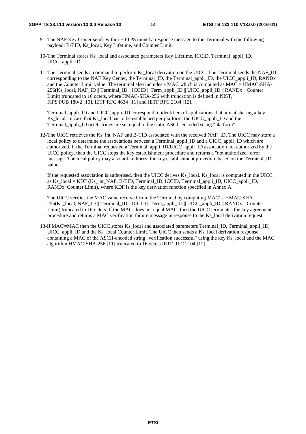#### **3GPP TS 33.110 version 13.0.0 Release 13 14 ETSI TS 133 110 V13.0.0 (2016-01)**

- 9- The NAF Key Center sends within HTTPS tunnel a response message to the Terminal with the following payload: B-TID, Ks\_local, Key Lifetime, and Counter Limit.
- 10- The Terminal stores Ks\_local and associated parameters Key Lifetime, ICCID, Terminal\_appli\_ID, UICC\_appli\_ID
- 11- The Terminal sends a command to perform Ks\_local derivation on the UICC. The Terminal sends the NAF\_ID corresponding to the NAF Key Center, the Terminal ID, the Terminal appli ID, the UICC appli ID, RANDx and the Counter Limit value. The terminal also includes a MAC which is computed as MAC = HMAC-SHA-256(Ks\_local, NAF\_ID || Terminal\_ID || ICCID || Term\_appli\_ID || UICC\_appli\_ID || RANDx || Counter Limit) truncated to 16 octets, where HMAC-SHA-256 with truncation is defined in NIST, FIPS PUB 180-2 [10], IETF RFC 4634 [11] and IETF RFC 2104 [12].

 Terminal\_appli\_ID and UICC\_appli\_ID correspond to identifiers of applications that aim at sharing a key Ks local. In case that Ks local has to be established per platform, the UICC appli ID and the Terminal\_appli\_ID octet strings are set equal to the static ASCII-encoded string "platform".

12- The UICC retrieves the Ks\_int\_NAF and B-TID associated with the received NAF\_ID. The UICC may store a local policy to determine the associations between a Terminal\_appli\_ID and a UICC\_appli\_ID which are authorized. If the Terminal requested a Terminal\_appli\_ID/UICC\_appli\_ID association not authorized by the UICC policy, then the UICC stops the key establishment procedure and returns a "not authorized" error message. The local policy may also not authorize the key establishment procedure based on the Terminal\_ID value.

 If the requested association is authorised, then the UICC derives Ks\_local. Ks\_local is computed in the UICC as Ks  $local = KDF$  (Ks int NAF, B-TID, Terminal ID, ICCID, Terminal appli ID, UICC appli ID, RANDx, Counter Limit), where KDF is the key derivation function specified in Annex A.

 The UICC verifies the MAC value received from the Terminal by computing MAC' = HMAC-SHA-256(Ks\_local, NAF\_ID || Terminal\_ID || ICCID || Term\_appli\_ID || UICC\_appli\_ID || RANDx || Counter Limit) truncated to 16 octets. If the MAC' does not equal MAC, then the UICC terminates the key agreement procedure and returns a MAC verification failure message in response to the Ks\_local derivation request.

13-If MAC'=MAC then the UICC stores Ks\_local and associated parameters Terminal\_ID, Terminal\_appli\_ID, UICC\_appli\_ID and the Ks\_local Counter Limit. The UICC then sends a Ks\_local derivation response containing a MAC of the ASCII-encoded string "verification successful" using the key Ks\_local and the MAC algorithm HMAC-SHA-256 [11] truncated to 16 octets IETF RFC 2104 [12].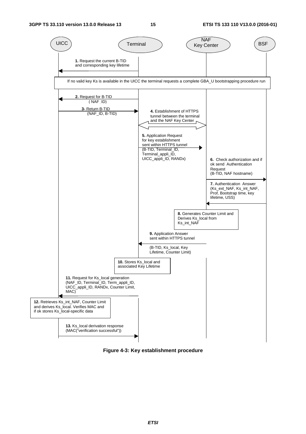

**Figure 4-3: Key establishment procedure**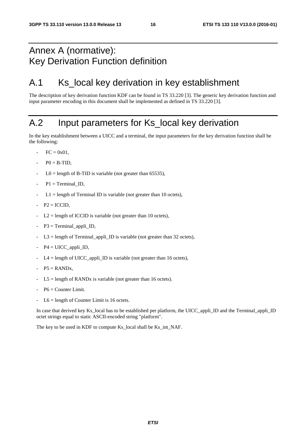## Annex A (normative): Key Derivation Function definition

## A.1 Ks\_local key derivation in key establishment

The description of key derivation function KDF can be found in TS 33.220 [3]. The generic key derivation function and input parameter encoding in this document shall be implemented as defined in TS 33.220 [3].

## A.2 Input parameters for Ks\_local key derivation

In the key establishment between a UICC and a terminal, the input parameters for the key derivation function shall be the following:

- $FC = 0x01$ .
- $P0 = B-TID$ ,
- $LO =$  length of B-TID is variable (not greater than 65535),
- $P1 = TerminalID$ .
- $L1 =$  length of Terminal ID is variable (not greater than 10 octets),
- $P2 = ICCID$ ,
- $L2$  = length of ICCID is variable (not greater than 10 octets),
- $P3 = Terminal\_appli\_ID$ ,
- $L3 =$  length of Terminal\_appli\_ID is variable (not greater than 32 octets),
- $P4 = UICC$  appli ID,
- $L4 =$  length of UICC\_appli\_ID is variable (not greater than 16 octets),
- $P5 =$  RAND<sub>x</sub>,
- $L5 =$  length of RANDx is variable (not greater than 16 octets).
- $P6 =$  Counter Limit.
- $L6$  = length of Counter Limit is 16 octets.

In case that derived key Ks local has to be established per platform, the UICC appli ID and the Terminal appli ID octet strings equal to static ASCII-encoded string "platform".

The key to be used in KDF to compute Ks\_local shall be Ks\_int\_NAF.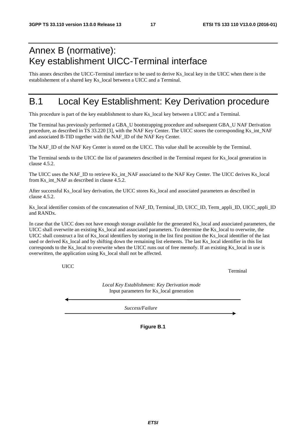## Annex B (normative): Key establishment UICC-Terminal interface

This annex describes the UICC-Terminal interface to be used to derive Ks\_local key in the UICC when there is the establishement of a shared key Ks\_local between a UICC and a Terminal.

## B.1 Local Key Establishment: Key Derivation procedure

This procedure is part of the key establishment to share Ks\_local key between a UICC and a Terminal.

The Terminal has previously performed a GBA\_U bootstrapping procedure and subsequent GBA\_U NAF Derivation procedure, as described in TS 33.220 [3], with the NAF Key Center. The UICC stores the corresponding Ks\_int\_NAF and associated B-TID together with the NAF\_ID of the NAF Key Center.

The NAF\_ID of the NAF Key Center is stored on the UICC. This value shall be accessible by the Terminal.

The Terminal sends to the UICC the list of parameters described in the Terminal request for Ks\_local generation in clause 4.5.2.

The UICC uses the NAF\_ID to retrieve Ks\_int\_NAF associated to the NAF Key Center. The UICC derives Ks\_local from Ks\_int\_NAF as described in clause 4.5.2.

After successful Ks\_local key derivation, the UICC stores Ks\_local and associated parameters as described in clause 4.5.2.

Ks\_local identifier consists of the concatenation of NAF\_ID, Terminal\_ID, UICC\_ID, Term\_appli\_ID, UICC\_appli\_ID and RANDx.

In case that the UICC does not have enough storage available for the generated Ks local and associated parameters, the UICC shall overwrite an existing Ks\_local and associated parameters. To determine the Ks\_local to overwrite, the UICC shall construct a list of Ks local identifiers by storing in the list first position the Ks local identifier of the last used or derived Ks local and by shifting down the remaining list elements. The last Ks local identifier in this list corresponds to the Ks\_local to overwrite when the UICC runs out of free memofy. If an existing Ks\_local in use is overwritten, the application using Ks\_local shall not be affected.

UICC

Terminal

*Local Key Establishment: Key Derivation mode*  Input parameters for Ks\_local generation

*Success/Failure*

**Figure B.1**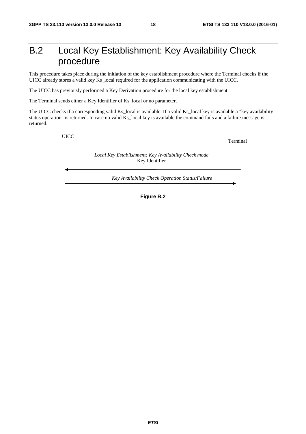## B.2 Local Key Establishment: Key Availability Check procedure

This procedure takes place during the initiation of the key establishment procedure where the Terminal checks if the UICC already stores a valid key Ks\_local required for the application communicating with the UICC.

The UICC has previously performed a Key Derivation procedure for the local key establishment.

The Terminal sends either a Key Identifier of Ks\_local or no parameter.

The UICC checks if a corresponding valid Ks\_local is available. If a valid Ks\_local key is available a "key availability status operation" is returned. In case no valid Ks\_local key is available the command fails and a failure message is returned.

UICC

Terminal

*Local Key Establishment: Key Availability Check mode*  Key Identifier

*Key Availability Check Operation Status/Failure*

**Figure B.2**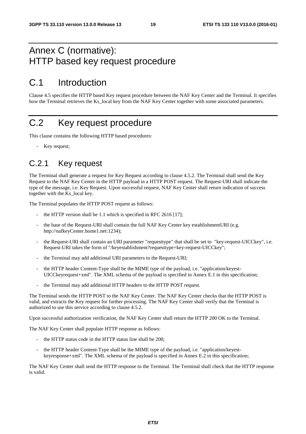## Annex C (normative): HTTP based key request procedure

## C.1 Introduction

Clause 4.5 specifies the HTTP based Key request procedure between the NAF Key Center and the Terminal. It specifies how the Terminal retrieves the Ks\_local key from the NAF Key Center together with some associated parameters.

## C.2 Key request procedure

This clause contains the following HTTP based procedures:

Key request;

### C.2.1 Key request

The Terminal shall generate a request for Key Request according to clause 4.5.2. The Terminal shall send the Key Request to the NAF Key Center in the HTTP payload in a HTTP POST request. The Request-URI shall indicate the type of the message, i.e. Key Request. Upon successful request, NAF Key Center shall return indication of success together with the Ks\_local key.

The Terminal populates the HTTP POST request as follows:

- the HTTP version shall be 1.1 which is specified in RFC 2616  $[17]$ ;
- the base of the Request-URI shall contain the full NAF Key Center key establishmentURI (e.g. http://nafkeyCenter.home1.net:1234);
- the Request-URI shall contain an URI parameter "requesttype" that shall be set to "key-request-UICCkey", i.e. Request-URI takes the form of "/keyestablishment?requesttype=key-request-UICCkey";
- the Terminal may add additional URI parameters to the Request-URI;
- the HTTP header Content-Type shall be the MIME type of the payload, i.e. "application/keyest-UICCkeyrequest+xml". The XML schema of the payload is specified in Annex E.1 in this specification;
- the Terminal may add additional HTTP headers to the HTTP POST request.

The Terminal sends the HTTP POST to the NAF Key Center. The NAF Key Center checks that the HTTP POST is valid, and extracts the Key request for further processing. The NAF Key Center shall verify that the Terminal is authorized to use this service according to clause 4.5.2.

Upon successful authorization verification, the NAF Key Center shall return the HTTP 200 OK to the Terminal.

The NAF Key Center shall populate HTTP response as follows:

- the HTTP status code in the HTTP status line shall be 200;
- the HTTP header Content-Type shall be the MIME type of the payload, i.e. "application/keyestkeyresponse+xml". The XML schema of the payload is specified in Annex E.2 in this specification;

The NAF Key Center shall send the HTTP response to the Terminal. The Terminal shall check that the HTTP response is valid.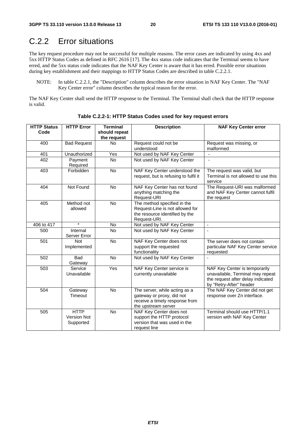## C.2.2 Error situations

The key request procedure may not be successful for multiple reasons. The error cases are indicated by using 4xx and 5xx HTTP Status Codes as defined in RFC 2616 [17]. The 4xx status code indicates that the Terminal seems to have erred, and the 5xx status code indicates that the NAF Key Center is aware that it has erred. Possible error situations during key establishment and their mappings to HTTP Status Codes are described in table C.2.2.1.

NOTE: In table C.2.2.1, the "Description" column describes the error situation in NAF Key Center. The "NAF Key Center error" column describes the typical reason for the error.

The NAF Key Center shall send the HTTP response to the Terminal. The Terminal shall check that the HTTP response is valid.

| <b>HTTP Status</b> | <b>HTTP Error</b>                              | <b>Terminal</b> | <b>Description</b>                                                                                                  | <b>NAF Key Center error</b>                                                                                                       |
|--------------------|------------------------------------------------|-----------------|---------------------------------------------------------------------------------------------------------------------|-----------------------------------------------------------------------------------------------------------------------------------|
| Code               |                                                | should repeat   |                                                                                                                     |                                                                                                                                   |
|                    |                                                | the request     |                                                                                                                     |                                                                                                                                   |
| 400                | <b>Bad Request</b>                             | <b>No</b>       | Request could not be                                                                                                | Request was missing, or                                                                                                           |
|                    |                                                |                 | understood                                                                                                          | malformed                                                                                                                         |
| 401                | Unauthorized                                   | Yes             | Not used by NAF Key Center                                                                                          |                                                                                                                                   |
| 402                | Payment<br>Required                            | <b>No</b>       | Not used by NAF Key Center                                                                                          | $\blacksquare$                                                                                                                    |
| 403                | Forbidden                                      | No              | NAF Key Center understood the<br>request, but is refusing to fulfil it                                              | The request was valid, but<br>Terminal is not allowed to use this<br>service                                                      |
| 404                | Not Found                                      | <b>No</b>       | NAF Key Center has not found<br>anything matching the<br>Request-URI                                                | The Request-URI was malformed<br>and NAF Key Center cannot fulfil<br>the request                                                  |
| 405                | Method not<br>allowed                          | No              | The method specified in the<br>Request-Line is not allowed for<br>the resource identified by the<br>Request-URI.    |                                                                                                                                   |
| 406 to 417         | $\star$                                        | No              | Not used by NAF Key Center                                                                                          | $\mathbf{r}$                                                                                                                      |
| 500                | Internal<br>Server Error                       | <b>No</b>       | Not used by NAF Key Center                                                                                          |                                                                                                                                   |
| 501                | <b>Not</b><br>Implemented                      | No              | NAF Key Center does not<br>support the requested<br>functionality                                                   | The server does not contain<br>particular NAF Key Center service<br>requested                                                     |
| 502                | <b>Bad</b><br>Gateway                          | No              | Not used by NAF Key Center                                                                                          | L.                                                                                                                                |
| 503                | Service<br>Unavailable                         | Yes             | NAF Key Center service is<br>currently unavailable                                                                  | NAF Key Center is temporarily<br>unavailable, Terminal may repeat<br>the request after delay indicated<br>by "Retry-After" header |
| 504                | Gateway<br>Timeout                             | No              | The server, while acting as a<br>gateway or proxy, did not<br>receive a timely response from<br>the upstream server | The NAF Key Center did not get<br>response over Zn interface.                                                                     |
| 505                | <b>HTTP</b><br><b>Version Not</b><br>Supported | No              | NAF Key Center does not<br>support the HTTP protocol<br>version that was used in the<br>request line                | Terminal should use HTTP/1.1<br>version with NAF Key Center                                                                       |

**Table C.2.2-1: HTTP Status Codes used for key request errors**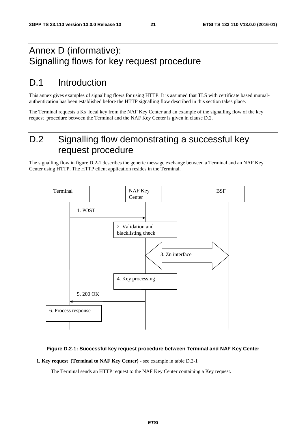## Annex D (informative): Signalling flows for key request procedure

## D.1 Introduction

This annex gives examples of signalling flows for using HTTP. It is assumed that TLS with certificate based mutualauthentication has been established before the HTTP signalling flow described in this section takes place.

The Terminal requests a Ks\_local key from the NAF Key Center and an example of the signalling flow of the key request procedure between the Terminal and the NAF Key Center is given in clause D.2.

## D.2 Signalling flow demonstrating a successful key request procedure

The signalling flow in figure D.2-1 describes the generic message exchange between a Terminal and an NAF Key Center using HTTP. The HTTP client application resides in the Terminal.



#### **Figure D.2-1: Successful key request procedure between Terminal and NAF Key Center**

**1. Key request (Terminal to NAF Key Center)** - see example in table D.2-1

The Terminal sends an HTTP request to the NAF Key Center containing a Key request.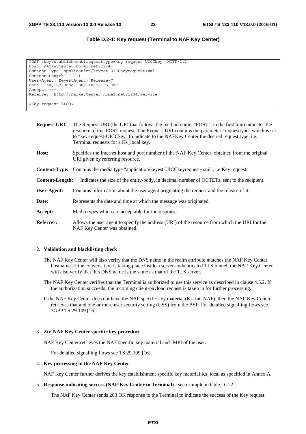#### **Table D.2-1: Key request (Terminal to NAF Key Center)**

```
POST /keyestablishment?requesttype=key-request-UICCkey HTTP/1.1 
Host: nafkeyCenter.home1.net:1234 
Content-Type: application/keyest-UICCkeyrequest+xml 
Content-Length: (...) 
User-Agent: KeyestAgent; Release-7 
Date: Thu, 27 June 2007 10:50:35 GMT 
Accept: */* 
Referrer: http://nafkeyCenter.home1.net:1234/service 
<Key request BLOB>
```
**Request-URI:** The Request-URI (the URI that follows the method name, "POST", in the first line) indicates the resource of this POST request. The Request-URI contains the parameter "requesttype" which is set to "key-request-UICCkey" to indicate to the NAFKey Center the desired request type, i.e. Terminal requests for a Ks\_local key. **Host:** Specifies the Internet host and port number of the NAF Key Center, obtained from the original URI given by referring resource. **Content-Type:** Contains the media type "application/keyest-UICCkeyrequest+xml", i.e.Key request. **Content-Length:** Indicates the size of the entity-body, in decimal number of OCTETs, sent to the recipient. **User-Agent:** Contains information about the user agent originating the request and the release of it. **Date:** Represents the date and time at which the message was originated. **Accept:** Media types which are acceptable for the response.

**Referrer:** Allows the user agent to specify the address (URI) of the resource from which the URI for the NAF Key Center was obtained.

#### 2. **Validation and blacklisting check**

- The NAF Key Center will also verify that the DNS name in the realm attribute matches the NAF Key Center hostname. If the conversation is taking place inside a server-authenticated TLS tunnel, the NAF Key Center will also verify that this DNS name is the same as that of the TLS server.
- The NAF Key Center verifies that the Terminal is authorized to use this service as described in clause 4.5.2. If the authorization succeeds, the incoming client-payload request is taken in for further processing.
- If the NAF Key Center does not have the NAF specific key material (Ks\_int\_NAF), then the NAF Key Center retrieves that and one or more user security setting (USS) from the BSF. For detailed signalling flows see 3GPP TS 29.109 [16].

#### 3. **Zn: NAF Key Center specific key procedure**

NAF Key Center retrieves the NAF specific key material and IMPI of the user.

For detailed signalling flows see TS 29.109 [16].

#### 4. **Key processing in the NAF Key Center**

NAF Key Center further derives the key establishment specific key material Ks\_local as specified in Annex A.

#### 5. **Response indicating success (NAF Key Center to Terminal)** - see example in table D.2-2

The NAF Key Center sends 200 OK response to the Terminal to indicate the success of the Key request.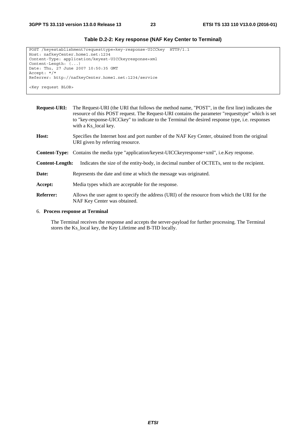| POST /keyestablishment?requesttype=key-response-UICCkey HTTP/1.1 |  |
|------------------------------------------------------------------|--|
| Host: nafkeyCenter.home1.net:1234                                |  |
| Content-Type: application/keyest-UICCkeyresponse+xml             |  |
| Content-Length: $( \ldots )$                                     |  |
| Date: Thu, 27 June 2007 10:50:35 GMT                             |  |
| Accept: $*/*$                                                    |  |
| Referrer: http://nafkeyCenter.home1.net:1234/service             |  |
|                                                                  |  |
| <key blob="" request=""></key>                                   |  |

#### **Table D.2-2: Key response (NAF Key Center to Terminal)**

| <b>Request-URI:</b>    | The Request-URI (the URI that follows the method name, "POST", in the first line) indicates the<br>resource of this POST request. The Request-URI contains the parameter "requesttype" which is set<br>to "key-response-UICCkey" to indicate to the Terminal the desired response type, <i>i.e.</i> responses<br>with a Ks_local key. |
|------------------------|---------------------------------------------------------------------------------------------------------------------------------------------------------------------------------------------------------------------------------------------------------------------------------------------------------------------------------------|
| Host:                  | Specifies the Internet host and port number of the NAF Key Center, obtained from the original<br>URI given by referring resource.                                                                                                                                                                                                     |
|                        | <b>Content-Type:</b> Contains the media type "application/keyest-UICCkeyresponse+xml", i.e.Key response.                                                                                                                                                                                                                              |
| <b>Content-Length:</b> | Indicates the size of the entity-body, in decimal number of OCTETs, sent to the recipient.                                                                                                                                                                                                                                            |
| Date:                  | Represents the date and time at which the message was originated.                                                                                                                                                                                                                                                                     |
| Accept:                | Media types which are acceptable for the response.                                                                                                                                                                                                                                                                                    |
| <b>Referrer:</b>       | Allows the user agent to specify the address (URI) of the resource from which the URI for the<br>NAF Key Center was obtained.                                                                                                                                                                                                         |
|                        |                                                                                                                                                                                                                                                                                                                                       |

#### 6. **Process response at Terminal**

 The Terminal receives the response and accepts the server-payload for further processing. The Terminal stores the Ks\_local key, the Key Lifetime and B-TID locally.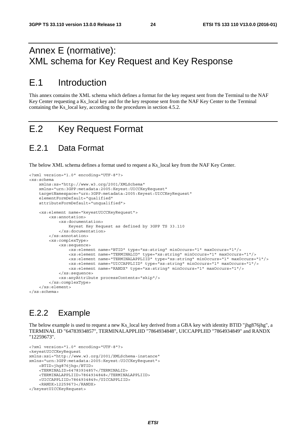## Annex E (normative): XML schema for Key Request and Key Response

## E.1 Introduction

This annex contains the XML schema which defines a format for the key request sent from the Terminal to the NAF Key Center requesting a Ks\_local key and for the key response sent from the NAF Key Center to the Terminal containing the Ks\_local key, according to the procedures in section 4.5.2.

## E.2 Key Request Format

### E.2.1 Data Format

The below XML schema defines a format used to request a Ks\_local key from the NAF Key Center.

```
<?xml version="1.0" encoding="UTF-8"?> 
<xs:schema 
    xmlns:xs="http://www.w3.org/2001/XMLSchema" 
     xmlns="urn:3GPP:metadata:2005:Keyest:UICCKeyRequest" 
     targetNamespace="urn:3GPP:metadata:2005:Keyest:UICCKeyRequest" 
     elementFormDefault="qualified" 
     attributeFormDefault="unqualified"> 
     <xs:element name="keyestUICCKeyRequest"> 
         <xs:annotation> 
             <xs:documentation> 
                  Keyest Key Request as defined by 3GPP TS 33.110 
             </xs:documentation> 
         </xs:annotation> 
         <xs:complexType> 
             <xs:sequence> 
                  <xs:element name="BTID" type="xs:string" minOccurs="1" maxOccurs="1"/> 
                  <xs:element name="TERMINALID" type="xs:string" minOccurs="1" maxOccurs="1"/> 
                  <xs:element name="TERMINALAPPLIID" type="xs:string" minOccurs="1" maxOccurs="1"/> 
                  <xs:element name="UICCAPPLIID" type="xs:string" minOccurs="1" maxOccurs="1"/> 
                  <xs:element name="RANDX" type="xs:string" minOccurs="1" maxOccurs="1"/> 
             </xs:sequence> 
             <xs:anyAttribute processContents="skip"/> 
         </xs:complexType> 
    \epsilon/xs\cdotelement>
</xs:schema>
```
### E.2.2 Example

The below example is used to request a new Ks local key derived from a GBA key with identity BTID "jhg876jhg", a TERMINAL ID "64783934857", TERMINALAPPLIID "7864934848", UICCAPPLIID "7864934849" and RANDX "12259673".

```
<?xml version="1.0" encoding="UTF-8"?> 
<keyestUICCKeyRequest 
xmlns:xsi="http://www.w3.org/2001/XMLSchema-instance" 
xmlns="urn:3GPP:metadata:2005:Keyest:UICCKeyRequest"> 
     <BTID>jhg876jhg</BTID> 
     <TERMINALID>64783934857</TERMINALID> 
     <TERMINALAPPLIID>7864934848</TERMINALAPPLIID> 
     <UICCAPPLIID>7864934849</UICCAPPLIID> 
     <RANDX>12259673</RANDX> 
</keyestUICCKeyRequest>
```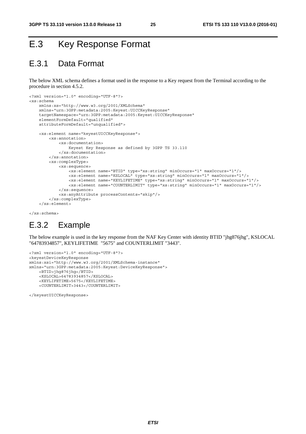## E.3 Key Response Format

## E.3.1 Data Format

The below XML schema defines a format used in the response to a Key request from the Terminal according to the procedure in section 4.5.2.

```
<?xml version="1.0" encoding="UTF-8"?> 
<xs:schema 
     xmlns:xs="http://www.w3.org/2001/XMLSchema" 
     xmlns="urn:3GPP:metadata:2005:Keyest:UICCKeyResponse" 
     targetNamespace="urn:3GPP:metadata:2005:Keyest:UICCKeyResponse" 
     elementFormDefault="qualified" 
     attributeFormDefault="unqualified"> 
     <xs:element name="keyestUICCKeyResponse"> 
         <xs:annotation> 
             <xs:documentation> 
                  Keyest Key Response as defined by 3GPP TS 33.110 
             </xs:documentation> 
         </xs:annotation> 
         <xs:complexType> 
             <xs:sequence> 
                  <xs:element name="BTID" type="xs:string" minOccurs="1" maxOccurs="1"/> 
                  <xs:element name="KSLOCAL" type="xs:string" minOccurs="1" maxOccurs="1"/> 
                  <xs:element name="KEYLIFETIME" type="xs:string" minOccurs="1" maxOccurs="1"/> 
                  <xs:element name="COUNTERLIMIT" type="xs:string" minOccurs="1" maxOccurs="1"/> 
             </xs:sequence> 
             <xs:anyAttribute processContents="skip"/> 
         </xs:complexType> 
     </xs:element>
```
</xs:schema>

### E.3.2 Example

The below example is used in the key response from the NAF Key Center with identity BTID "jhg876jhg", KSLOCAL "64783934857", KEYLIFETIME "5675" and COUNTERLIMIT "3443".

```
<?xml version="1.0" encoding="UTF-8"?> 
<keyestDeviceKeyResponse 
xmlns:xsi="http://www.w3.org/2001/XMLSchema-instance" 
xmlns="urn:3GPP:metadata:2005:Keyest:DeviceKeyResponse"> 
     <BTID>jhg876jhg</BTID> 
     <KSLOCAL>64783934857</KSLOCAL> 
     <KEYLIFETIME>5675</KEYLIFETIME> 
     <COUNTERLIMIT>3443</COUNTERLIMIT>
```
</keyestUICCKeyResponse>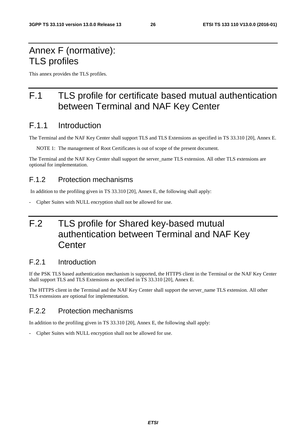## Annex F (normative): TLS profiles

This annex provides the TLS profiles.

## F.1 TLS profile for certificate based mutual authentication between Terminal and NAF Key Center

### F.1.1 Introduction

The Terminal and the NAF Key Center shall support TLS and TLS Extensions as specified in TS 33.310 [20], Annex E.

NOTE 1: The management of Root Certificates is out of scope of the present document.

The Terminal and the NAF Key Center shall support the server\_name TLS extension. All other TLS extensions are optional for implementation.

#### F.1.2 Protection mechanisms

In addition to the profiling given in TS 33.310 [20], Annex E, the following shall apply:

Cipher Suites with NULL encryption shall not be allowed for use.

## F.2 TLS profile for Shared key-based mutual authentication between Terminal and NAF Key **Center**

#### F.2.1 Introduction

If the PSK TLS based authentication mechanism is supported, the HTTPS client in the Terminal or the NAF Key Center shall support TLS and TLS Extensions as specified in TS 33.310 [20], Annex E.

The HTTPS client in the Terminal and the NAF Key Center shall support the server name TLS extension. All other TLS extensions are optional for implementation.

### F.2.2 Protection mechanisms

In addition to the profiling given in TS 33.310 [20], Annex E, the following shall apply:

Cipher Suites with NULL encryption shall not be allowed for use.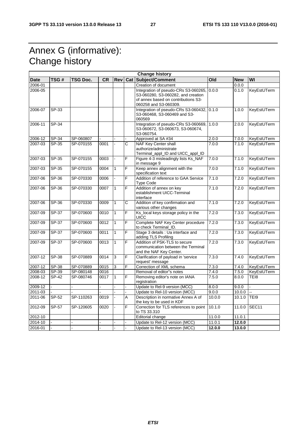## Annex G (informative): Change history

| <b>Change history</b> |                    |           |           |                |     |                                                                                                                                            |        |            |                   |
|-----------------------|--------------------|-----------|-----------|----------------|-----|--------------------------------------------------------------------------------------------------------------------------------------------|--------|------------|-------------------|
| <b>Date</b>           | TSG#               | TSG Doc.  | <b>CR</b> | <b>Rev</b>     | Cat | Subject/Comment                                                                                                                            | Old    | <b>New</b> | WI                |
| 2006-01               |                    |           |           |                |     | Creation of document                                                                                                                       |        | 0.0.0      |                   |
| 2006-05               |                    |           |           |                |     | Integration of pseudo-CRs S3-060265,<br>S3-060280, S3-060282, and creation<br>of annex based on contributions S3-<br>060258 and S3-060309. | 0.0.0  | 0.1.0      | KeyEstUTerm       |
| 2006-07               | SP-33              |           |           |                |     | Integration of pseudo-CRs S3-060432, 0.1.0<br>S3-060468, S3-060469 and S3-<br>060569                                                       |        | 1.0.0      | KeyEstUTerm       |
| 2006-11               | SP-34              |           |           |                |     | Integration of pseudo-CRs S3-060669,<br>S3-060672, S3-060673, S3-060674,<br>S3-060754.                                                     | 1.0.0  | 2.0.0      | KeyEstUTerm       |
| 2006-12               | SP-34              | SP-060807 |           |                |     | Approved at SA #34                                                                                                                         | 2.0.0  | 7.0.0      | KeyEstUTerm       |
| 2007-03               | SP-35              | SP-070155 | 0001      |                | C   | <b>NAF Key Center shall</b><br>authorize/administrate<br>Terminal_appl_ID and UICC_appl_ID                                                 | 7.0.0  | 7.1.0      | KeyEstUTerm       |
| 2007-03               | SP-35              | SP-070155 | 0003      |                | F   | Figure 4-3 misleadingly lists Ks_NAF<br>in message 9                                                                                       | 7.0.0  | 7.1.0      | KeyEstUTerm       |
| 2007-03               | SP-35              | SP-070155 | 0004      | $\mathbf{1}$   | F   | Keep annex alignment with the<br>specification text                                                                                        | 7.0.0  | 7.1.0      | KeyEstUTerm       |
| 2007-06               | SP-36              | SP-070330 | 0006      |                | F   | Addition of reference to GAA Service<br><b>Type Code</b>                                                                                   | 7.1.0  | 7.2.0      | KeyEstUTerm       |
| 2007-06               | SP-36              | SP-070330 | 0007      | $\mathbf{1}$   | F.  | Addition of annex on key<br>establishment UICC-Terminal<br>interface                                                                       | 7.1.0  | 7.2.0      | KeyEstUTerm       |
| 2007-06               | SP-36              | SP-070330 | 0009      | $\mathbf{1}$   | C   | Addition of key confirmation and<br>various other changes                                                                                  | 7.1.0  | 7.2.0      | KeyEstUTerm       |
| 2007-09               | $SP-37$            | SP-070600 | 0010      | $\overline{1}$ | F   | Ks_local keys storage policy in the<br>UICC                                                                                                | 7.2.0  | 7.3.0      | KeyEstUTerm       |
| 2007-09               | SP-37              | SP-070600 | 0012      | $\mathbf{1}$   | F.  | Complete NAF Key Center procedure<br>to check Terminal_ID.                                                                                 | 7.2.0  | 7.3.0      | KeyEstUTerm       |
| 2007-09               | SP-37              | SP-070600 | 0011      | $\mathbf{1}$   | F   | Stage 3 details : Ua interface and<br>adding TLS Profiling                                                                                 | 7.2.0  | 7.3.0      | KeyEstUTerm       |
| 2007-09               | <b>SP-37</b>       | SP-070600 | 0013      | $\mathbf{1}$   | F   | Addition of PSK-TLS to secure<br>communication between the Terminal<br>and the NAF Key Center.                                             | 7.2.0  | 7.3.0      | KeyEstUTerm       |
| 2007-12               | SP-38              | SP-070889 | 0014      | 3              | F   | Clarification of payload in 'service<br>request' message                                                                                   | 7.3.0  | 7.4.0      | KeyEstUTerm       |
| 2007-12               | $SP-38$            | SP-070889 | 0015      | 3              | F   | Correction of XML schema                                                                                                                   | 7.3.0  | 7.4.0      | KeyEstUTerm       |
| 2008-03               | SP-39              | SP-080148 | 0016      |                |     | Removal of editor"s notes                                                                                                                  | 7.4.0  | 7.5.0      | KeyEstUTerm       |
| 2008-12               | $\overline{SP-42}$ | SP-080746 | 0017      | $\overline{1}$ | F   | Removing editor's note on IANA<br>registration                                                                                             | 7.5.0  | 8.0.0      | TEI8              |
| 2009-12               |                    |           |           |                |     | Update to Rel-9 version (MCC)                                                                                                              | 8.0.0  | 9.0.0      |                   |
| 2011-03               |                    |           |           |                |     | Update to Rel-10 version (MCC)                                                                                                             | 9.0.0  | 10.0.0     | L.                |
| 2011-06               | SP-52              | SP-110263 | 0019      |                | A   | Description in normative Annex A of<br>the key to be used in KDF                                                                           | 10.0.0 | 10.1.0     | TEI9              |
| 2012-09               | <b>SP-57</b>       | SP-120605 | 0020      |                | F   | Correction for TLS references to point<br>to TS 33.310                                                                                     | 10.1.0 | 11.0.0     | SEC <sub>11</sub> |
| 2012-10               |                    |           |           |                |     | Editorial change                                                                                                                           | 11.0.0 | 11.0.1     |                   |
| 2014-10               |                    |           |           |                |     | Update to Rel-12 version (MCC)                                                                                                             | 11.0.1 | 12.0.0     |                   |
| 2016-01               |                    |           |           |                |     | Update to Rel-13 version (MCC)                                                                                                             | 12.0.0 | 13.0.0     |                   |